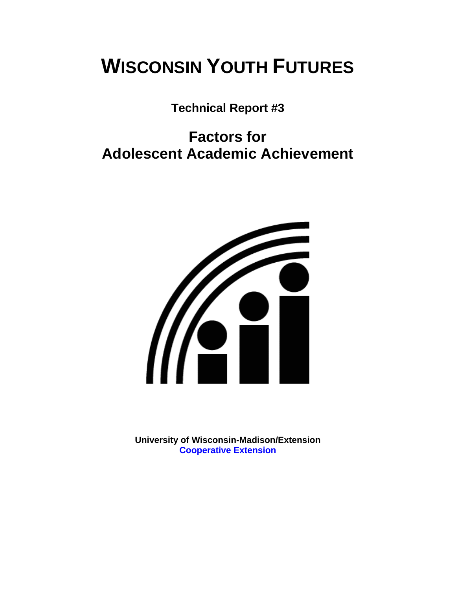# **WISCONSIN YOUTH FUTURES**

**Technical Report #3** 

# **Factors for Adolescent Academic Achievement**



**University of Wisconsin-Madison/Extension [Cooperative Extension](http://www1.uwex.edu/ces/index.cfm)**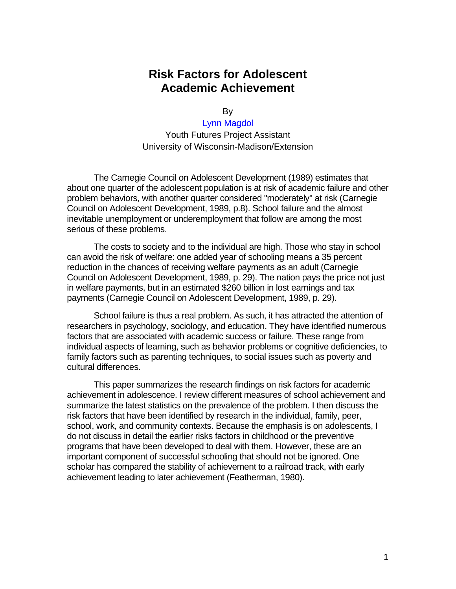# **Risk Factors for Adolescent Academic Achievement**

By

#### [Lynn Magdol](http://sociology.buffalo.edu/magdol.htm)

Youth Futures Project Assistant University of Wisconsin-Madison/Extension

The Carnegie Council on Adolescent Development (1989) estimates that about one quarter of the adolescent population is at risk of academic failure and other problem behaviors, with another quarter considered "moderately" at risk (Carnegie Council on Adolescent Development, 1989, p.8). School failure and the almost inevitable unemployment or underemployment that follow are among the most serious of these problems.

The costs to society and to the individual are high. Those who stay in school can avoid the risk of welfare: one added year of schooling means a 35 percent reduction in the chances of receiving welfare payments as an adult (Carnegie Council on Adolescent Development, 1989, p. 29). The nation pays the price not just in welfare payments, but in an estimated \$260 billion in lost earnings and tax payments (Carnegie Council on Adolescent Development, 1989, p. 29).

School failure is thus a real problem. As such, it has attracted the attention of researchers in psychology, sociology, and education. They have identified numerous factors that are associated with academic success or failure. These range from individual aspects of learning, such as behavior problems or cognitive deficiencies, to family factors such as parenting techniques, to social issues such as poverty and cultural differences.

This paper summarizes the research findings on risk factors for academic achievement in adolescence. I review different measures of school achievement and summarize the latest statistics on the prevalence of the problem. I then discuss the risk factors that have been identified by research in the individual, family, peer, school, work, and community contexts. Because the emphasis is on adolescents, I do not discuss in detail the earlier risks factors in childhood or the preventive programs that have been developed to deal with them. However, these are an important component of successful schooling that should not be ignored. One scholar has compared the stability of achievement to a railroad track, with early achievement leading to later achievement (Featherman, 1980).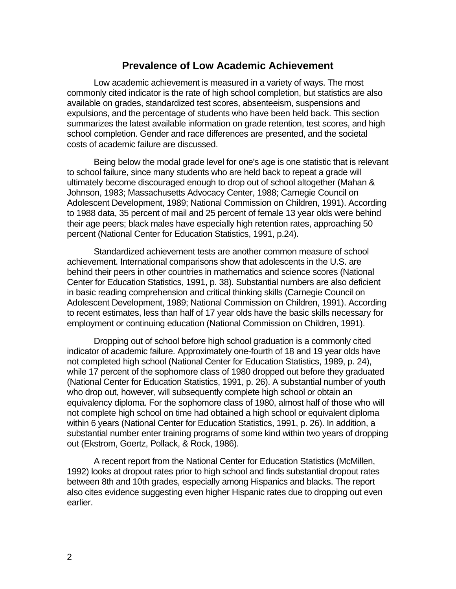#### **Prevalence of Low Academic Achievement**

Low academic achievement is measured in a variety of ways. The most commonly cited indicator is the rate of high school completion, but statistics are also available on grades, standardized test scores, absenteeism, suspensions and expulsions, and the percentage of students who have been held back. This section summarizes the latest available information on grade retention, test scores, and high school completion. Gender and race differences are presented, and the societal costs of academic failure are discussed.

Being below the modal grade level for one's age is one statistic that is relevant to school failure, since many students who are held back to repeat a grade will ultimately become discouraged enough to drop out of school altogether (Mahan & Johnson, 1983; Massachusetts Advocacy Center, 1988; Carnegie Council on Adolescent Development, 1989; National Commission on Children, 1991). According to 1988 data, 35 percent of mail and 25 percent of female 13 year olds were behind their age peers; black males have especially high retention rates, approaching 50 percent (National Center for Education Statistics, 1991, p.24).

Standardized achievement tests are another common measure of school achievement. International comparisons show that adolescents in the U.S. are behind their peers in other countries in mathematics and science scores (National Center for Education Statistics, 1991, p. 38). Substantial numbers are also deficient in basic reading comprehension and critical thinking skills (Carnegie Council on Adolescent Development, 1989; National Commission on Children, 1991). According to recent estimates, less than half of 17 year olds have the basic skills necessary for employment or continuing education (National Commission on Children, 1991).

Dropping out of school before high school graduation is a commonly cited indicator of academic failure. Approximately one-fourth of 18 and 19 year olds have not completed high school (National Center for Education Statistics, 1989, p. 24), while 17 percent of the sophomore class of 1980 dropped out before they graduated (National Center for Education Statistics, 1991, p. 26). A substantial number of youth who drop out, however, will subsequently complete high school or obtain an equivalency diploma. For the sophomore class of 1980, almost half of those who will not complete high school on time had obtained a high school or equivalent diploma within 6 years (National Center for Education Statistics, 1991, p. 26). In addition, a substantial number enter training programs of some kind within two years of dropping out (Ekstrom, Goertz, Pollack, & Rock, 1986).

A recent report from the National Center for Education Statistics (McMillen, 1992) looks at dropout rates prior to high school and finds substantial dropout rates between 8th and 10th grades, especially among Hispanics and blacks. The report also cites evidence suggesting even higher Hispanic rates due to dropping out even earlier.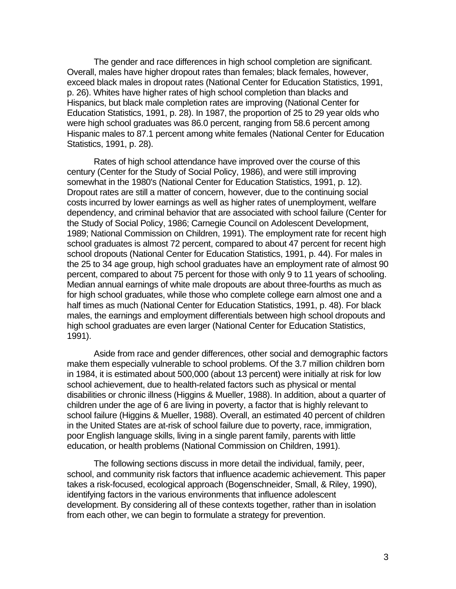The gender and race differences in high school completion are significant. Overall, males have higher dropout rates than females; black females, however, exceed black males in dropout rates (National Center for Education Statistics, 1991, p. 26). Whites have higher rates of high school completion than blacks and Hispanics, but black male completion rates are improving (National Center for Education Statistics, 1991, p. 28). In 1987, the proportion of 25 to 29 year olds who were high school graduates was 86.0 percent, ranging from 58.6 percent among Hispanic males to 87.1 percent among white females (National Center for Education Statistics, 1991, p. 28).

Rates of high school attendance have improved over the course of this century (Center for the Study of Social Policy, 1986), and were still improving somewhat in the 1980's (National Center for Education Statistics, 1991, p. 12). Dropout rates are still a matter of concern, however, due to the continuing social costs incurred by lower earnings as well as higher rates of unemployment, welfare dependency, and criminal behavior that are associated with school failure (Center for the Study of Social Policy, 1986; Carnegie Council on Adolescent Development, 1989; National Commission on Children, 1991). The employment rate for recent high school graduates is almost 72 percent, compared to about 47 percent for recent high school dropouts (National Center for Education Statistics, 1991, p. 44). For males in the 25 to 34 age group, high school graduates have an employment rate of almost 90 percent, compared to about 75 percent for those with only 9 to 11 years of schooling. Median annual earnings of white male dropouts are about three-fourths as much as for high school graduates, while those who complete college earn almost one and a half times as much (National Center for Education Statistics, 1991, p. 48). For black males, the earnings and employment differentials between high school dropouts and high school graduates are even larger (National Center for Education Statistics, 1991).

Aside from race and gender differences, other social and demographic factors make them especially vulnerable to school problems. Of the 3.7 million children born in 1984, it is estimated about 500,000 (about 13 percent) were initially at risk for low school achievement, due to health-related factors such as physical or mental disabilities or chronic illness (Higgins & Mueller, 1988). In addition, about a quarter of children under the age of 6 are living in poverty, a factor that is highly relevant to school failure (Higgins & Mueller, 1988). Overall, an estimated 40 percent of children in the United States are at-risk of school failure due to poverty, race, immigration, poor English language skills, living in a single parent family, parents with little education, or health problems (National Commission on Children, 1991).

The following sections discuss in more detail the individual, family, peer, school, and community risk factors that influence academic achievement. This paper takes a risk-focused, ecological approach (Bogenschneider, Small, & Riley, 1990), identifying factors in the various environments that influence adolescent development. By considering all of these contexts together, rather than in isolation from each other, we can begin to formulate a strategy for prevention.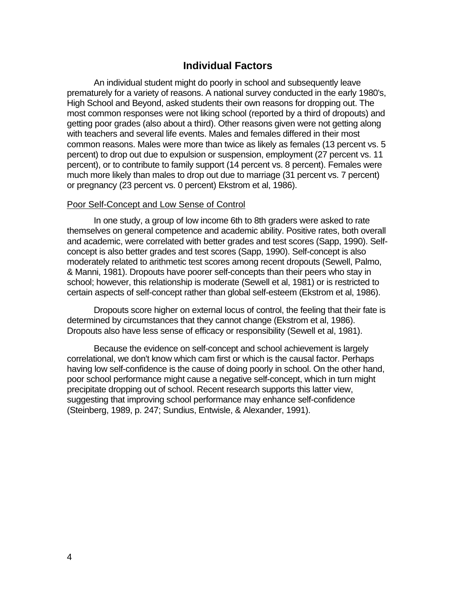### **Individual Factors**

An individual student might do poorly in school and subsequently leave prematurely for a variety of reasons. A national survey conducted in the early 1980's, High School and Beyond, asked students their own reasons for dropping out. The most common responses were not liking school (reported by a third of dropouts) and getting poor grades (also about a third). Other reasons given were not getting along with teachers and several life events. Males and females differed in their most common reasons. Males were more than twice as likely as females (13 percent vs. 5 percent) to drop out due to expulsion or suspension, employment (27 percent vs. 11 percent), or to contribute to family support (14 percent vs. 8 percent). Females were much more likely than males to drop out due to marriage (31 percent vs. 7 percent) or pregnancy (23 percent vs. 0 percent) Ekstrom et al, 1986).

#### Poor Self-Concept and Low Sense of Control

In one study, a group of low income 6th to 8th graders were asked to rate themselves on general competence and academic ability. Positive rates, both overall and academic, were correlated with better grades and test scores (Sapp, 1990). Selfconcept is also better grades and test scores (Sapp, 1990). Self-concept is also moderately related to arithmetic test scores among recent dropouts (Sewell, Palmo, & Manni, 1981). Dropouts have poorer self-concepts than their peers who stay in school; however, this relationship is moderate (Sewell et al, 1981) or is restricted to certain aspects of self-concept rather than global self-esteem (Ekstrom et al, 1986).

Dropouts score higher on external locus of control, the feeling that their fate is determined by circumstances that they cannot change (Ekstrom et al, 1986). Dropouts also have less sense of efficacy or responsibility (Sewell et al, 1981).

Because the evidence on self-concept and school achievement is largely correlational, we don't know which cam first or which is the causal factor. Perhaps having low self-confidence is the cause of doing poorly in school. On the other hand, poor school performance might cause a negative self-concept, which in turn might precipitate dropping out of school. Recent research supports this latter view, suggesting that improving school performance may enhance self-confidence (Steinberg, 1989, p. 247; Sundius, Entwisle, & Alexander, 1991).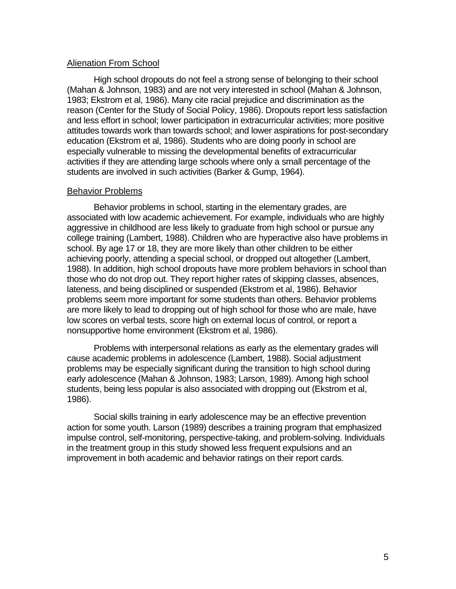#### Alienation From School

High school dropouts do not feel a strong sense of belonging to their school (Mahan & Johnson, 1983) and are not very interested in school (Mahan & Johnson, 1983; Ekstrom et al, 1986). Many cite racial prejudice and discrimination as the reason (Center for the Study of Social Policy, 1986). Dropouts report less satisfaction and less effort in school; lower participation in extracurricular activities; more positive attitudes towards work than towards school; and lower aspirations for post-secondary education (Ekstrom et al, 1986). Students who are doing poorly in school are especially vulnerable to missing the developmental benefits of extracurricular activities if they are attending large schools where only a small percentage of the students are involved in such activities (Barker & Gump, 1964).

#### Behavior Problems

Behavior problems in school, starting in the elementary grades, are associated with low academic achievement. For example, individuals who are highly aggressive in childhood are less likely to graduate from high school or pursue any college training (Lambert, 1988). Children who are hyperactive also have problems in school. By age 17 or 18, they are more likely than other children to be either achieving poorly, attending a special school, or dropped out altogether (Lambert, 1988). In addition, high school dropouts have more problem behaviors in school than those who do not drop out. They report higher rates of skipping classes, absences, lateness, and being disciplined or suspended (Ekstrom et al, 1986). Behavior problems seem more important for some students than others. Behavior problems are more likely to lead to dropping out of high school for those who are male, have low scores on verbal tests, score high on external locus of control, or report a nonsupportive home environment (Ekstrom et al, 1986).

Problems with interpersonal relations as early as the elementary grades will cause academic problems in adolescence (Lambert, 1988). Social adjustment problems may be especially significant during the transition to high school during early adolescence (Mahan & Johnson, 1983; Larson, 1989). Among high school students, being less popular is also associated with dropping out (Ekstrom et al, 1986).

Social skills training in early adolescence may be an effective prevention action for some youth. Larson (1989) describes a training program that emphasized impulse control, self-monitoring, perspective-taking, and problem-solving. Individuals in the treatment group in this study showed less frequent expulsions and an improvement in both academic and behavior ratings on their report cards.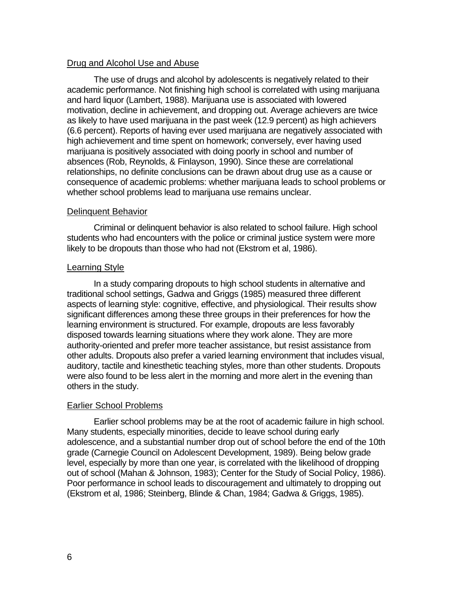#### Drug and Alcohol Use and Abuse

The use of drugs and alcohol by adolescents is negatively related to their academic performance. Not finishing high school is correlated with using marijuana and hard liquor (Lambert, 1988). Marijuana use is associated with lowered motivation, decline in achievement, and dropping out. Average achievers are twice as likely to have used marijuana in the past week (12.9 percent) as high achievers (6.6 percent). Reports of having ever used marijuana are negatively associated with high achievement and time spent on homework; conversely, ever having used marijuana is positively associated with doing poorly in school and number of absences (Rob, Reynolds, & Finlayson, 1990). Since these are correlational relationships, no definite conclusions can be drawn about drug use as a cause or consequence of academic problems: whether marijuana leads to school problems or whether school problems lead to marijuana use remains unclear.

#### Delinquent Behavior

Criminal or delinquent behavior is also related to school failure. High school students who had encounters with the police or criminal justice system were more likely to be dropouts than those who had not (Ekstrom et al, 1986).

#### Learning Style

In a study comparing dropouts to high school students in alternative and traditional school settings, Gadwa and Griggs (1985) measured three different aspects of learning style: cognitive, effective, and physiological. Their results show significant differences among these three groups in their preferences for how the learning environment is structured. For example, dropouts are less favorably disposed towards learning situations where they work alone. They are more authority-oriented and prefer more teacher assistance, but resist assistance from other adults. Dropouts also prefer a varied learning environment that includes visual, auditory, tactile and kinesthetic teaching styles, more than other students. Dropouts were also found to be less alert in the morning and more alert in the evening than others in the study.

#### Earlier School Problems

Earlier school problems may be at the root of academic failure in high school. Many students, especially minorities, decide to leave school during early adolescence, and a substantial number drop out of school before the end of the 10th grade (Carnegie Council on Adolescent Development, 1989). Being below grade level, especially by more than one year, is correlated with the likelihood of dropping out of school (Mahan & Johnson, 1983); Center for the Study of Social Policy, 1986). Poor performance in school leads to discouragement and ultimately to dropping out (Ekstrom et al, 1986; Steinberg, Blinde & Chan, 1984; Gadwa & Griggs, 1985).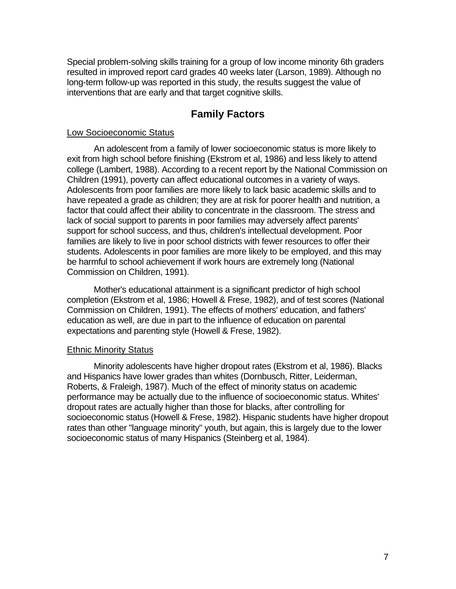Special problem-solving skills training for a group of low income minority 6th graders resulted in improved report card grades 40 weeks later (Larson, 1989). Although no long-term follow-up was reported in this study, the results suggest the value of interventions that are early and that target cognitive skills.

# **Family Factors**

#### Low Socioeconomic Status

An adolescent from a family of lower socioeconomic status is more likely to exit from high school before finishing (Ekstrom et al, 1986) and less likely to attend college (Lambert, 1988). According to a recent report by the National Commission on Children (1991), poverty can affect educational outcomes in a variety of ways. Adolescents from poor families are more likely to lack basic academic skills and to have repeated a grade as children; they are at risk for poorer health and nutrition, a factor that could affect their ability to concentrate in the classroom. The stress and lack of social support to parents in poor families may adversely affect parents' support for school success, and thus, children's intellectual development. Poor families are likely to live in poor school districts with fewer resources to offer their students. Adolescents in poor families are more likely to be employed, and this may be harmful to school achievement if work hours are extremely long (National Commission on Children, 1991).

Mother's educational attainment is a significant predictor of high school completion (Ekstrom et al, 1986; Howell & Frese, 1982), and of test scores (National Commission on Children, 1991). The effects of mothers' education, and fathers' education as well, are due in part to the influence of education on parental expectations and parenting style (Howell & Frese, 1982).

#### Ethnic Minority Status

Minority adolescents have higher dropout rates (Ekstrom et al, 1986). Blacks and Hispanics have lower grades than whites (Dornbusch, Ritter, Leiderman, Roberts, & Fraleigh, 1987). Much of the effect of minority status on academic performance may be actually due to the influence of socioeconomic status. Whites' dropout rates are actually higher than those for blacks, after controlling for socioeconomic status (Howell & Frese, 1982). Hispanic students have higher dropout rates than other "language minority" youth, but again, this is largely due to the lower socioeconomic status of many Hispanics (Steinberg et al, 1984).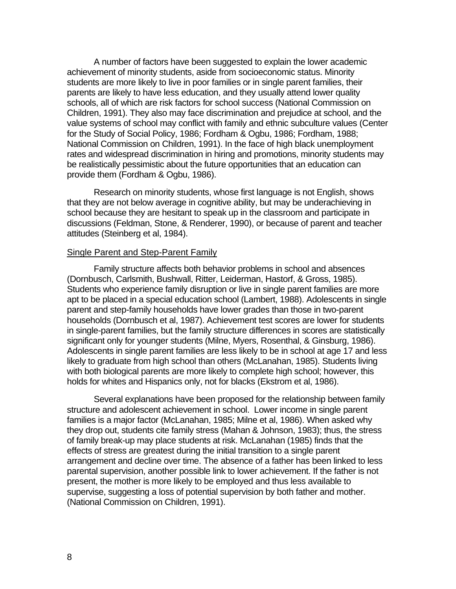A number of factors have been suggested to explain the lower academic achievement of minority students, aside from socioeconomic status. Minority students are more likely to live in poor families or in single parent families, their parents are likely to have less education, and they usually attend lower quality schools, all of which are risk factors for school success (National Commission on Children, 1991). They also may face discrimination and prejudice at school, and the value systems of school may conflict with family and ethnic subculture values (Center for the Study of Social Policy, 1986; Fordham & Ogbu, 1986; Fordham, 1988; National Commission on Children, 1991). In the face of high black unemployment rates and widespread discrimination in hiring and promotions, minority students may be realistically pessimistic about the future opportunities that an education can provide them (Fordham & Ogbu, 1986).

Research on minority students, whose first language is not English, shows that they are not below average in cognitive ability, but may be underachieving in school because they are hesitant to speak up in the classroom and participate in discussions (Feldman, Stone, & Renderer, 1990), or because of parent and teacher attitudes (Steinberg et al, 1984).

#### Single Parent and Step-Parent Family

Family structure affects both behavior problems in school and absences (Dornbusch, Carlsmith, Bushwall, Ritter, Leiderman, Hastorf, & Gross, 1985). Students who experience family disruption or live in single parent families are more apt to be placed in a special education school (Lambert, 1988). Adolescents in single parent and step-family households have lower grades than those in two-parent households (Dornbusch et al, 1987). Achievement test scores are lower for students in single-parent families, but the family structure differences in scores are statistically significant only for younger students (Milne, Myers, Rosenthal, & Ginsburg, 1986). Adolescents in single parent families are less likely to be in school at age 17 and less likely to graduate from high school than others (McLanahan, 1985). Students living with both biological parents are more likely to complete high school; however, this holds for whites and Hispanics only, not for blacks (Ekstrom et al, 1986).

Several explanations have been proposed for the relationship between family structure and adolescent achievement in school. Lower income in single parent families is a major factor (McLanahan, 1985; Milne et al, 1986). When asked why they drop out, students cite family stress (Mahan & Johnson, 1983); thus, the stress of family break-up may place students at risk. McLanahan (1985) finds that the effects of stress are greatest during the initial transition to a single parent arrangement and decline over time. The absence of a father has been linked to less parental supervision, another possible link to lower achievement. If the father is not present, the mother is more likely to be employed and thus less available to supervise, suggesting a loss of potential supervision by both father and mother. (National Commission on Children, 1991).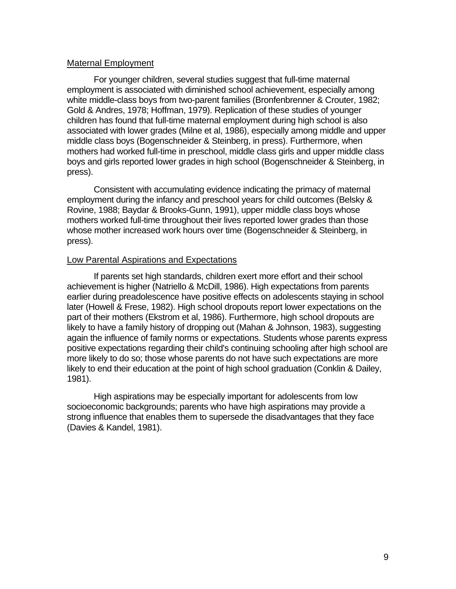#### Maternal Employment

For younger children, several studies suggest that full-time maternal employment is associated with diminished school achievement, especially among white middle-class boys from two-parent families (Bronfenbrenner & Crouter, 1982; Gold & Andres, 1978; Hoffman, 1979). Replication of these studies of younger children has found that full-time maternal employment during high school is also associated with lower grades (Milne et al, 1986), especially among middle and upper middle class boys (Bogenschneider & Steinberg, in press). Furthermore, when mothers had worked full-time in preschool, middle class girls and upper middle class boys and girls reported lower grades in high school (Bogenschneider & Steinberg, in press).

Consistent with accumulating evidence indicating the primacy of maternal employment during the infancy and preschool years for child outcomes (Belsky & Rovine, 1988; Baydar & Brooks-Gunn, 1991), upper middle class boys whose mothers worked full-time throughout their lives reported lower grades than those whose mother increased work hours over time (Bogenschneider & Steinberg, in press).

#### Low Parental Aspirations and Expectations

If parents set high standards, children exert more effort and their school achievement is higher (Natriello & McDill, 1986). High expectations from parents earlier during preadolescence have positive effects on adolescents staying in school later (Howell & Frese, 1982). High school dropouts report lower expectations on the part of their mothers (Ekstrom et al, 1986). Furthermore, high school dropouts are likely to have a family history of dropping out (Mahan & Johnson, 1983), suggesting again the influence of family norms or expectations. Students whose parents express positive expectations regarding their child's continuing schooling after high school are more likely to do so; those whose parents do not have such expectations are more likely to end their education at the point of high school graduation (Conklin & Dailey, 1981).

High aspirations may be especially important for adolescents from low socioeconomic backgrounds; parents who have high aspirations may provide a strong influence that enables them to supersede the disadvantages that they face (Davies & Kandel, 1981).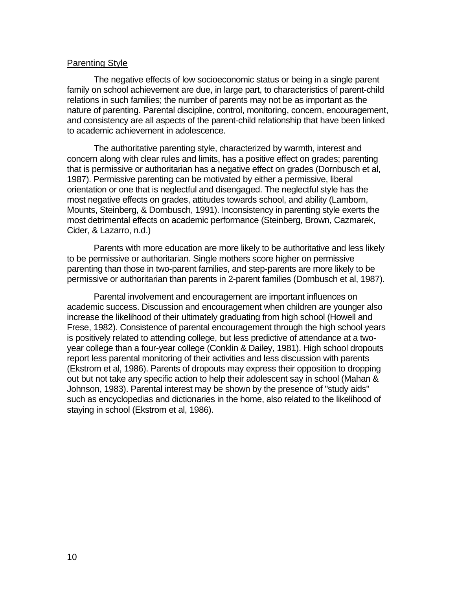#### Parenting Style

The negative effects of low socioeconomic status or being in a single parent family on school achievement are due, in large part, to characteristics of parent-child relations in such families; the number of parents may not be as important as the nature of parenting. Parental discipline, control, monitoring, concern, encouragement, and consistency are all aspects of the parent-child relationship that have been linked to academic achievement in adolescence.

The authoritative parenting style, characterized by warmth, interest and concern along with clear rules and limits, has a positive effect on grades; parenting that is permissive or authoritarian has a negative effect on grades (Dornbusch et al, 1987). Permissive parenting can be motivated by either a permissive, liberal orientation or one that is neglectful and disengaged. The neglectful style has the most negative effects on grades, attitudes towards school, and ability (Lamborn, Mounts, Steinberg, & Dornbusch, 1991). Inconsistency in parenting style exerts the most detrimental effects on academic performance (Steinberg, Brown, Cazmarek, Cider, & Lazarro, n.d.)

Parents with more education are more likely to be authoritative and less likely to be permissive or authoritarian. Single mothers score higher on permissive parenting than those in two-parent families, and step-parents are more likely to be permissive or authoritarian than parents in 2-parent families (Dornbusch et al, 1987).

Parental involvement and encouragement are important influences on academic success. Discussion and encouragement when children are younger also increase the likelihood of their ultimately graduating from high school (Howell and Frese, 1982). Consistence of parental encouragement through the high school years is positively related to attending college, but less predictive of attendance at a twoyear college than a four-year college (Conklin & Dailey, 1981). High school dropouts report less parental monitoring of their activities and less discussion with parents (Ekstrom et al, 1986). Parents of dropouts may express their opposition to dropping out but not take any specific action to help their adolescent say in school (Mahan & Johnson, 1983). Parental interest may be shown by the presence of "study aids" such as encyclopedias and dictionaries in the home, also related to the likelihood of staying in school (Ekstrom et al, 1986).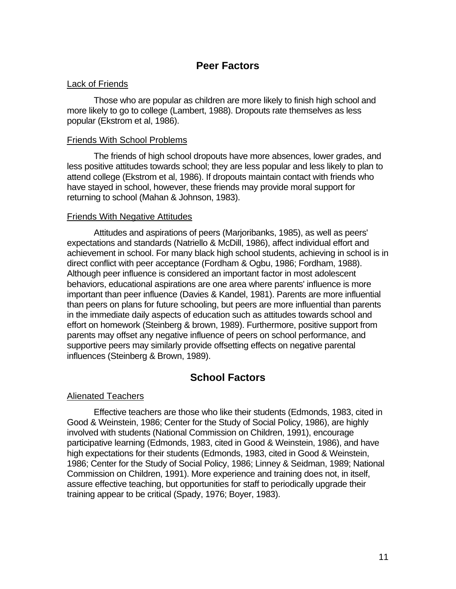## **Peer Factors**

#### Lack of Friends

Those who are popular as children are more likely to finish high school and more likely to go to college (Lambert, 1988). Dropouts rate themselves as less popular (Ekstrom et al, 1986).

#### Friends With School Problems

The friends of high school dropouts have more absences, lower grades, and less positive attitudes towards school; they are less popular and less likely to plan to attend college (Ekstrom et al, 1986). If dropouts maintain contact with friends who have stayed in school, however, these friends may provide moral support for returning to school (Mahan & Johnson, 1983).

#### Friends With Negative Attitudes

Attitudes and aspirations of peers (Marjoribanks, 1985), as well as peers' expectations and standards (Natriello & McDill, 1986), affect individual effort and achievement in school. For many black high school students, achieving in school is in direct conflict with peer acceptance (Fordham & Ogbu, 1986; Fordham, 1988). Although peer influence is considered an important factor in most adolescent behaviors, educational aspirations are one area where parents' influence is more important than peer influence (Davies & Kandel, 1981). Parents are more influential than peers on plans for future schooling, but peers are more influential than parents in the immediate daily aspects of education such as attitudes towards school and effort on homework (Steinberg & brown, 1989). Furthermore, positive support from parents may offset any negative influence of peers on school performance, and supportive peers may similarly provide offsetting effects on negative parental influences (Steinberg & Brown, 1989).

# **School Factors**

#### Alienated Teachers

Effective teachers are those who like their students (Edmonds, 1983, cited in Good & Weinstein, 1986; Center for the Study of Social Policy, 1986), are highly involved with students (National Commission on Children, 1991), encourage participative learning (Edmonds, 1983, cited in Good & Weinstein, 1986), and have high expectations for their students (Edmonds, 1983, cited in Good & Weinstein, 1986; Center for the Study of Social Policy, 1986; Linney & Seidman, 1989; National Commission on Children, 1991). More experience and training does not, in itself, assure effective teaching, but opportunities for staff to periodically upgrade their training appear to be critical (Spady, 1976; Boyer, 1983).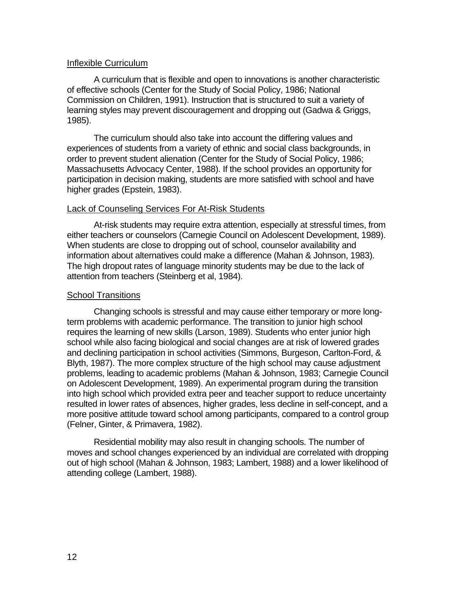#### Inflexible Curriculum

A curriculum that is flexible and open to innovations is another characteristic of effective schools (Center for the Study of Social Policy, 1986; National Commission on Children, 1991). Instruction that is structured to suit a variety of learning styles may prevent discouragement and dropping out (Gadwa & Griggs, 1985).

The curriculum should also take into account the differing values and experiences of students from a variety of ethnic and social class backgrounds, in order to prevent student alienation (Center for the Study of Social Policy, 1986; Massachusetts Advocacy Center, 1988). If the school provides an opportunity for participation in decision making, students are more satisfied with school and have higher grades (Epstein, 1983).

#### Lack of Counseling Services For At-Risk Students

At-risk students may require extra attention, especially at stressful times, from either teachers or counselors (Carnegie Council on Adolescent Development, 1989). When students are close to dropping out of school, counselor availability and information about alternatives could make a difference (Mahan & Johnson, 1983). The high dropout rates of language minority students may be due to the lack of attention from teachers (Steinberg et al, 1984).

#### School Transitions

Changing schools is stressful and may cause either temporary or more longterm problems with academic performance. The transition to junior high school requires the learning of new skills (Larson, 1989). Students who enter junior high school while also facing biological and social changes are at risk of lowered grades and declining participation in school activities (Simmons, Burgeson, Carlton-Ford, & Blyth, 1987). The more complex structure of the high school may cause adjustment problems, leading to academic problems (Mahan & Johnson, 1983; Carnegie Council on Adolescent Development, 1989). An experimental program during the transition into high school which provided extra peer and teacher support to reduce uncertainty resulted in lower rates of absences, higher grades, less decline in self-concept, and a more positive attitude toward school among participants, compared to a control group (Felner, Ginter, & Primavera, 1982).

Residential mobility may also result in changing schools. The number of moves and school changes experienced by an individual are correlated with dropping out of high school (Mahan & Johnson, 1983; Lambert, 1988) and a lower likelihood of attending college (Lambert, 1988).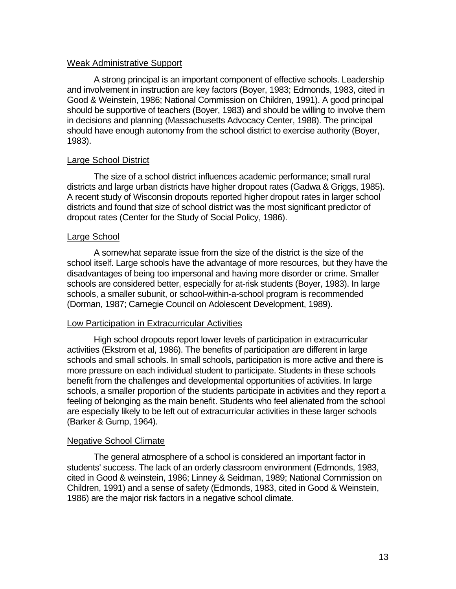#### Weak Administrative Support

A strong principal is an important component of effective schools. Leadership and involvement in instruction are key factors (Boyer, 1983; Edmonds, 1983, cited in Good & Weinstein, 1986; National Commission on Children, 1991). A good principal should be supportive of teachers (Boyer, 1983) and should be willing to involve them in decisions and planning (Massachusetts Advocacy Center, 1988). The principal should have enough autonomy from the school district to exercise authority (Boyer, 1983).

#### Large School District

The size of a school district influences academic performance; small rural districts and large urban districts have higher dropout rates (Gadwa & Griggs, 1985). A recent study of Wisconsin dropouts reported higher dropout rates in larger school districts and found that size of school district was the most significant predictor of dropout rates (Center for the Study of Social Policy, 1986).

#### Large School

A somewhat separate issue from the size of the district is the size of the school itself. Large schools have the advantage of more resources, but they have the disadvantages of being too impersonal and having more disorder or crime. Smaller schools are considered better, especially for at-risk students (Boyer, 1983). In large schools, a smaller subunit, or school-within-a-school program is recommended (Dorman, 1987; Carnegie Council on Adolescent Development, 1989).

#### Low Participation in Extracurricular Activities

High school dropouts report lower levels of participation in extracurricular activities (Ekstrom et al, 1986). The benefits of participation are different in large schools and small schools. In small schools, participation is more active and there is more pressure on each individual student to participate. Students in these schools benefit from the challenges and developmental opportunities of activities. In large schools, a smaller proportion of the students participate in activities and they report a feeling of belonging as the main benefit. Students who feel alienated from the school are especially likely to be left out of extracurricular activities in these larger schools (Barker & Gump, 1964).

#### Negative School Climate

The general atmosphere of a school is considered an important factor in students' success. The lack of an orderly classroom environment (Edmonds, 1983, cited in Good & weinstein, 1986; Linney & Seidman, 1989; National Commission on Children, 1991) and a sense of safety (Edmonds, 1983, cited in Good & Weinstein, 1986) are the major risk factors in a negative school climate.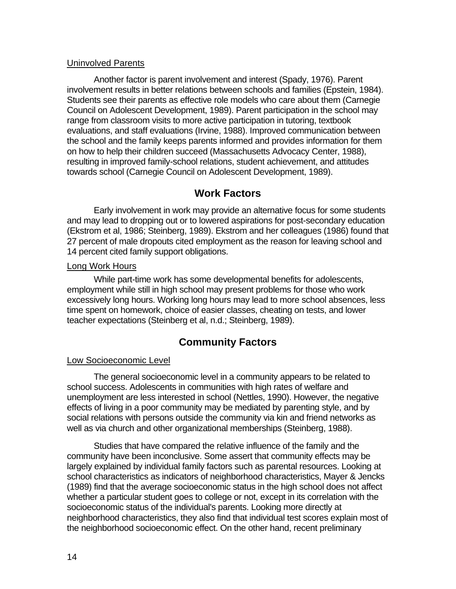#### Uninvolved Parents

Another factor is parent involvement and interest (Spady, 1976). Parent involvement results in better relations between schools and families (Epstein, 1984). Students see their parents as effective role models who care about them (Carnegie Council on Adolescent Development, 1989). Parent participation in the school may range from classroom visits to more active participation in tutoring, textbook evaluations, and staff evaluations (Irvine, 1988). Improved communication between the school and the family keeps parents informed and provides information for them on how to help their children succeed (Massachusetts Advocacy Center, 1988), resulting in improved family-school relations, student achievement, and attitudes towards school (Carnegie Council on Adolescent Development, 1989).

# **Work Factors**

Early involvement in work may provide an alternative focus for some students and may lead to dropping out or to lowered aspirations for post-secondary education (Ekstrom et al, 1986; Steinberg, 1989). Ekstrom and her colleagues (1986) found that 27 percent of male dropouts cited employment as the reason for leaving school and 14 percent cited family support obligations.

#### Long Work Hours

While part-time work has some developmental benefits for adolescents, employment while still in high school may present problems for those who work excessively long hours. Working long hours may lead to more school absences, less time spent on homework, choice of easier classes, cheating on tests, and lower teacher expectations (Steinberg et al, n.d.; Steinberg, 1989).

# **Community Factors**

#### Low Socioeconomic Level

The general socioeconomic level in a community appears to be related to school success. Adolescents in communities with high rates of welfare and unemployment are less interested in school (Nettles, 1990). However, the negative effects of living in a poor community may be mediated by parenting style, and by social relations with persons outside the community via kin and friend networks as well as via church and other organizational memberships (Steinberg, 1988).

Studies that have compared the relative influence of the family and the community have been inconclusive. Some assert that community effects may be largely explained by individual family factors such as parental resources. Looking at school characteristics as indicators of neighborhood characteristics, Mayer & Jencks (1989) find that the average socioeconomic status in the high school does not affect whether a particular student goes to college or not, except in its correlation with the socioeconomic status of the individual's parents. Looking more directly at neighborhood characteristics, they also find that individual test scores explain most of the neighborhood socioeconomic effect. On the other hand, recent preliminary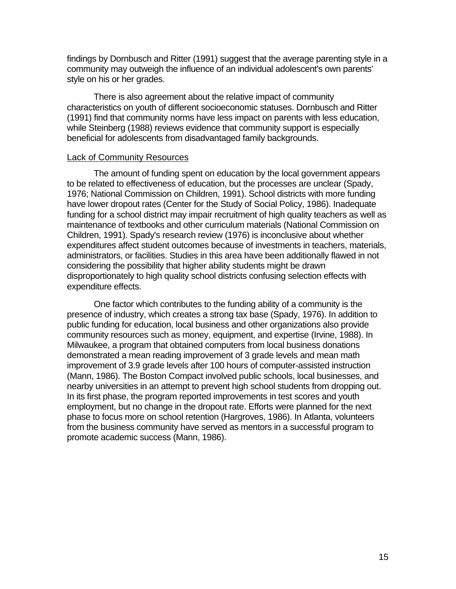findings by Dornbusch and Ritter (1991) suggest that the average parenting style in a community may outweigh the influence of an individual adolescent's own parents' style on his or her grades.

There is also agreement about the relative impact of community characteristics on youth of different socioeconomic statuses. Dornbusch and Ritter (1991) find that community norms have less impact on parents with less education, while Steinberg (1988) reviews evidence that community support is especially beneficial for adolescents from disadvantaged family backgrounds.

#### Lack of Community Resources

The amount of funding spent on education by the local government appears to be related to effectiveness of education, but the processes are unclear (Spady, 1976; National Commission on Children, 1991). School districts with more funding have lower dropout rates (Center for the Study of Social Policy, 1986). Inadequate funding for a school district may impair recruitment of high quality teachers as well as maintenance of textbooks and other curriculum materials (National Commission on Children, 1991). Spady's research review (1976) is inconclusive about whether expenditures affect student outcomes because of investments in teachers, materials, administrators, or facilities. Studies in this area have been additionally flawed in not considering the possibility that higher ability students might be drawn disproportionately to high quality school districts confusing selection effects with expenditure effects.

One factor which contributes to the funding ability of a community is the presence of industry, which creates a strong tax base (Spady, 1976). In addition to public funding for education, local business and other organizations also provide community resources such as money, equipment, and expertise (Irvine, 1988). In Milwaukee, a program that obtained computers from local business donations demonstrated a mean reading improvement of 3 grade levels and mean math improvement of 3.9 grade levels after 100 hours of computer-assisted instruction (Mann, 1986). The Boston Compact involved public schools, local businesses, and nearby universities in an attempt to prevent high school students from dropping out. In its first phase, the program reported improvements in test scores and youth employment, but no change in the dropout rate. Efforts were planned for the next phase to focus more on school retention (Hargroves, 1986). In Atlanta, volunteers from the business community have served as mentors in a successful program to promote academic success (Mann, 1986).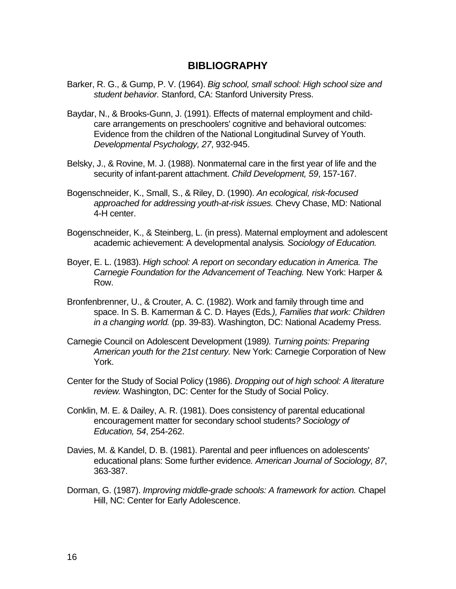#### **BIBLIOGRAPHY**

- Barker, R. G., & Gump, P. V. (1964). *Big school, small school: High school size and student behavior.* Stanford, CA: Stanford University Press.
- Baydar, N., & Brooks-Gunn, J. (1991). Effects of maternal employment and childcare arrangements on preschoolers' cognitive and behavioral outcomes: Evidence from the children of the National Longitudinal Survey of Youth. *Developmental Psychology, 27*, 932-945.
- Belsky, J., & Rovine, M. J. (1988). Nonmaternal care in the first year of life and the security of infant-parent attachment. *Child Development, 59*, 157-167.
- Bogenschneider, K., Small, S., & Riley, D. (1990). *An ecological, risk-focused approached for addressing youth-at-risk issues.* Chevy Chase, MD: National 4-H center.
- Bogenschneider, K., & Steinberg, L. (in press). Maternal employment and adolescent academic achievement: A developmental analysis*. Sociology of Education.*
- Boyer, E. L. (1983). *High school: A report on secondary education in America. The Carnegie Foundation for the Advancement of Teaching.* New York: Harper & Row.
- Bronfenbrenner, U., & Crouter, A. C. (1982). Work and family through time and space. In S. B. Kamerman & C. D. Hayes (Eds*.), Families that work: Children in a changing world.* (pp. 39-83). Washington, DC: National Academy Press.
- Carnegie Council on Adolescent Development (1989*). Turning points: Preparing American youth for the 21st century.* New York: Carnegie Corporation of New York.
- Center for the Study of Social Policy (1986). *Dropping out of high school: A literature review.* Washington, DC: Center for the Study of Social Policy.
- Conklin, M. E. & Dailey, A. R. (1981). Does consistency of parental educational encouragement matter for secondary school students*? Sociology of Education, 54*, 254-262.
- Davies, M. & Kandel, D. B. (1981). Parental and peer influences on adolescents' educational plans: Some further evidence*. American Journal of Sociology, 87*, 363-387.
- Dorman, G. (1987). *Improving middle-grade schools: A framework for action.* Chapel Hill, NC: Center for Early Adolescence.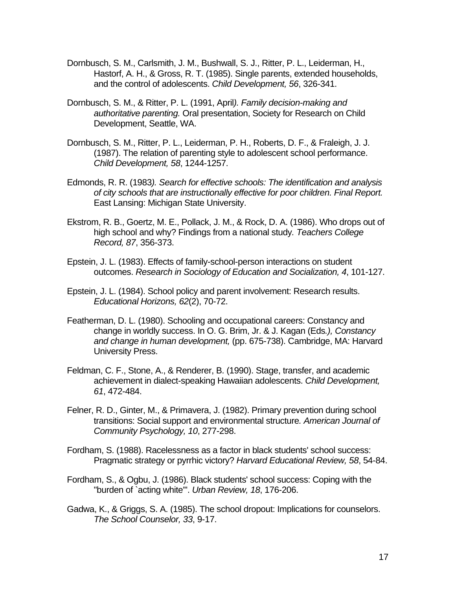- Dornbusch, S. M., Carlsmith, J. M., Bushwall, S. J., Ritter, P. L., Leiderman, H., Hastorf, A. H., & Gross, R. T. (1985). Single parents, extended households, and the control of adolescents. *Child Development, 56*, 326-341.
- Dornbusch, S. M., & Ritter, P. L. (1991, April*). Family decision-making and authoritative parenting.* Oral presentation, Society for Research on Child Development, Seattle, WA.
- Dornbusch, S. M., Ritter, P. L., Leiderman, P. H., Roberts, D. F., & Fraleigh, J. J. (1987). The relation of parenting style to adolescent school performance. *Child Development, 58*, 1244-1257.
- Edmonds, R. R. (1983*). Search for effective schools: The identification and analysis of city schools that are instructionally effective for poor children. Final Report.* East Lansing: Michigan State University.
- Ekstrom, R. B., Goertz, M. E., Pollack, J. M., & Rock, D. A. (1986). Who drops out of high school and why? Findings from a national study*. Teachers College Record, 87*, 356-373.
- Epstein, J. L. (1983). Effects of family-school-person interactions on student outcomes. *Research in Sociology of Education and Socialization, 4*, 101-127.
- Epstein, J. L. (1984). School policy and parent involvement: Research results. *Educational Horizons, 62*(2), 70-72.
- Featherman, D. L. (1980). Schooling and occupational careers: Constancy and change in worldly success. In O. G. Brim, Jr. & J. Kagan (Eds*.), Constancy and change in human development,* (pp. 675-738). Cambridge, MA: Harvard University Press.
- Feldman, C. F., Stone, A., & Renderer, B. (1990). Stage, transfer, and academic achievement in dialect-speaking Hawaiian adolescents. *Child Development, 61*, 472-484.
- Felner, R. D., Ginter, M., & Primavera, J. (1982). Primary prevention during school transitions: Social support and environmental structure*. American Journal of Community Psychology, 10*, 277-298.
- Fordham, S. (1988). Racelessness as a factor in black students' school success: Pragmatic strategy or pyrrhic victory? *Harvard Educational Review, 58*, 54-84.
- Fordham, S., & Ogbu, J. (1986). Black students' school success: Coping with the "burden of `acting white'". *Urban Review, 18*, 176-206.
- Gadwa, K., & Griggs, S. A. (1985). The school dropout: Implications for counselors. *The School Counselor, 33*, 9-17.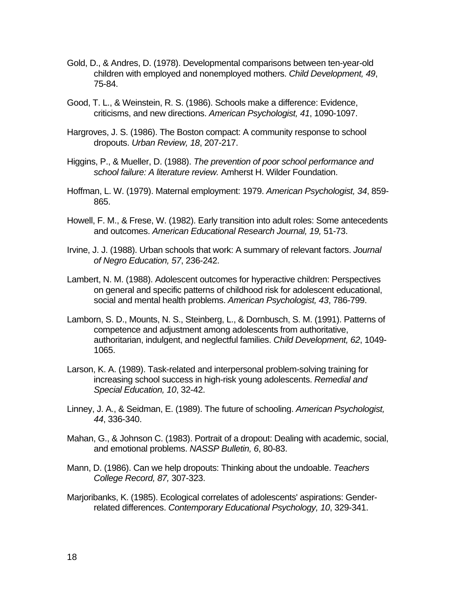- Gold, D., & Andres, D. (1978). Developmental comparisons between ten-year-old children with employed and nonemployed mothers. *Child Development, 49*, 75-84.
- Good, T. L., & Weinstein, R. S. (1986). Schools make a difference: Evidence, criticisms, and new directions. *American Psychologist, 41*, 1090-1097.
- Hargroves, J. S. (1986). The Boston compact: A community response to school dropouts. *Urban Review, 18*, 207-217.
- Higgins, P., & Mueller, D. (1988). *The prevention of poor school performance and school failure: A literature review.* Amherst H. Wilder Foundation.
- Hoffman, L. W. (1979). Maternal employment: 1979. *American Psychologist, 34*, 859- 865.
- Howell, F. M., & Frese, W. (1982). Early transition into adult roles: Some antecedents and outcomes. *American Educational Research Journal, 19,* 51-73.
- Irvine, J. J. (1988). Urban schools that work: A summary of relevant factors. *Journal of Negro Education, 57*, 236-242.
- Lambert, N. M. (1988). Adolescent outcomes for hyperactive children: Perspectives on general and specific patterns of childhood risk for adolescent educational, social and mental health problems. *American Psychologist, 43*, 786-799.
- Lamborn, S. D., Mounts, N. S., Steinberg, L., & Dornbusch, S. M. (1991). Patterns of competence and adjustment among adolescents from authoritative, authoritarian, indulgent, and neglectful families. *Child Development, 62*, 1049- 1065.
- Larson, K. A. (1989). Task-related and interpersonal problem-solving training for increasing school success in high-risk young adolescents. *Remedial and Special Education, 10*, 32-42.
- Linney, J. A., & Seidman, E. (1989). The future of schooling. *American Psychologist, 44*, 336-340.
- Mahan, G., & Johnson C. (1983). Portrait of a dropout: Dealing with academic, social, and emotional problems. *NASSP Bulletin, 6*, 80-83.
- Mann, D. (1986). Can we help dropouts: Thinking about the undoable. *Teachers College Record, 87,* 307-323.
- Marjoribanks, K. (1985). Ecological correlates of adolescents' aspirations: Genderrelated differences. *Contemporary Educational Psychology, 10*, 329-341.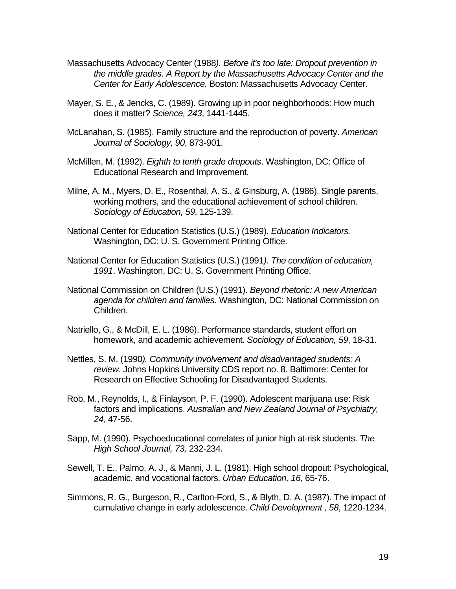- Massachusetts Advocacy Center (1988*). Before it's too late: Dropout prevention in the middle grades. A Report by the Massachusetts Advocacy Center and the Center for Early Adolescence.* Boston: Massachusetts Advocacy Center.
- Mayer, S. E., & Jencks, C. (1989). Growing up in poor neighborhoods: How much does it matter? *Science, 243*, 1441-1445.
- McLanahan, S. (1985). Family structure and the reproduction of poverty. *American Journal of Sociology, 90*, 873-901.
- McMillen, M. (1992). *Eighth to tenth grade dropouts*. Washington, DC: Office of Educational Research and Improvement.
- Milne, A. M., Myers, D. E., Rosenthal, A. S., & Ginsburg, A. (1986). Single parents, working mothers, and the educational achievement of school children. *Sociology of Education, 59*, 125-139.
- National Center for Education Statistics (U.S.) (1989). *Education Indicators.* Washington, DC: U. S. Government Printing Office.
- National Center for Education Statistics (U.S.) (1991*). The condition of education, 1991*. Washington, DC: U. S. Government Printing Office.
- National Commission on Children (U.S.) (1991). *Beyond rhetoric: A new American agenda for children and families.* Washington, DC: National Commission on Children.
- Natriello, G., & McDill, E. L. (1986). Performance standards, student effort on homework, and academic achievement. *Sociology of Education, 59*, 18-31.
- Nettles, S. M. (1990*). Community involvement and disadvantaged students: A review.* Johns Hopkins University CDS report no. 8. Baltimore: Center for Research on Effective Schooling for Disadvantaged Students.
- Rob, M., Reynolds, I., & Finlayson, P. F. (1990). Adolescent marijuana use: Risk factors and implications. *Australian and New Zealand Journal of Psychiatry, 24,* 47-56.
- Sapp, M. (1990). Psychoeducational correlates of junior high at-risk students. *The High School Journal, 73,* 232-234.
- Sewell, T. E., Palmo, A. J., & Manni, J. L. (1981). High school dropout: Psychological, academic, and vocational factors. *Urban Education, 16*, 65-76.
- Simmons, R. G., Burgeson, R., Carlton-Ford, S., & Blyth, D. A. (1987). The impact of cumulative change in early adolescence. *Child Development , 58*, 1220-1234.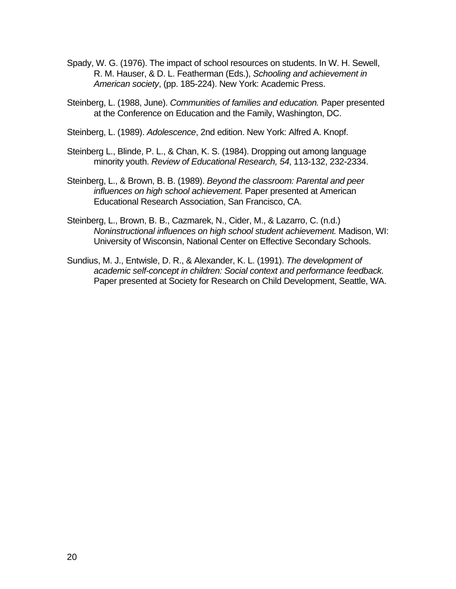- Spady, W. G. (1976). The impact of school resources on students. In W. H. Sewell, R. M. Hauser, & D. L. Featherman (Eds.), *Schooling and achievement in American society*, (pp. 185-224). New York: Academic Press.
- Steinberg, L. (1988, June). *Communities of families and education.* Paper presented at the Conference on Education and the Family, Washington, DC.
- Steinberg, L. (1989). *Adolescence*, 2nd edition. New York: Alfred A. Knopf.
- Steinberg L., Blinde, P. L., & Chan, K. S. (1984). Dropping out among language minority youth. *Review of Educational Research, 54*, 113-132, 232-2334.
- Steinberg, L., & Brown, B. B. (1989). *Beyond the classroom: Parental and peer influences on high school achievement.* Paper presented at American Educational Research Association, San Francisco, CA.
- Steinberg, L., Brown, B. B., Cazmarek, N., Cider, M., & Lazarro, C. (n.d.) *Noninstructional influences on high school student achievement.* Madison, WI: University of Wisconsin, National Center on Effective Secondary Schools.
- Sundius, M. J., Entwisle, D. R., & Alexander, K. L. (1991). *The development of academic self-concept in children: Social context and performance feedback.*  Paper presented at Society for Research on Child Development, Seattle, WA.